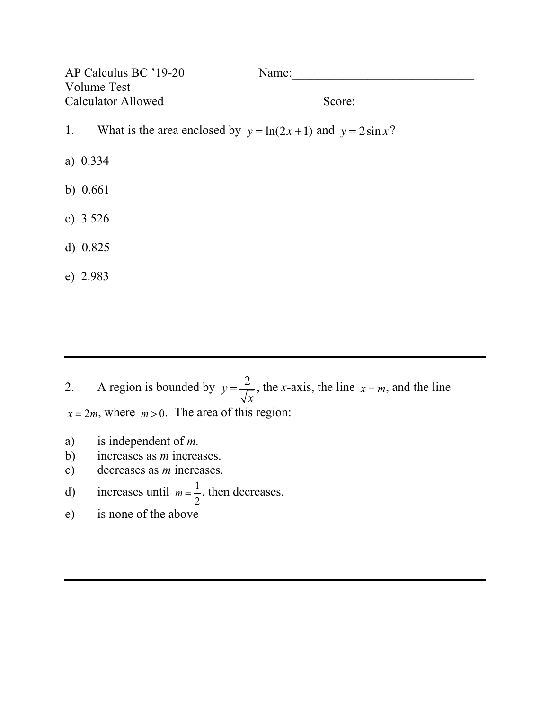AP Calculus BC '19-20 Name: Volume Test Calculator Allowed Score:

- 1. What is the area enclosed by  $y = ln(2x+1)$  and  $y = 2sin x$ ?
- a) 0.334
- b) 0.661
- c) 3.526
- d) 0.825
- e) 2.983

2. A region is bounded by  $y = \frac{2}{x}$ , the *x*-axis, the line  $x = m$ , and the line  $x = 2m$ , where  $m > 0$ . The area of this region: *x x* = *m*

- a) is independent of *m.*
- b) increases as *m* increases.
- c) decreases as *m* increases.
- d) increases until  $m = \frac{1}{2}$ , then decreases. 2
- e) is none of the above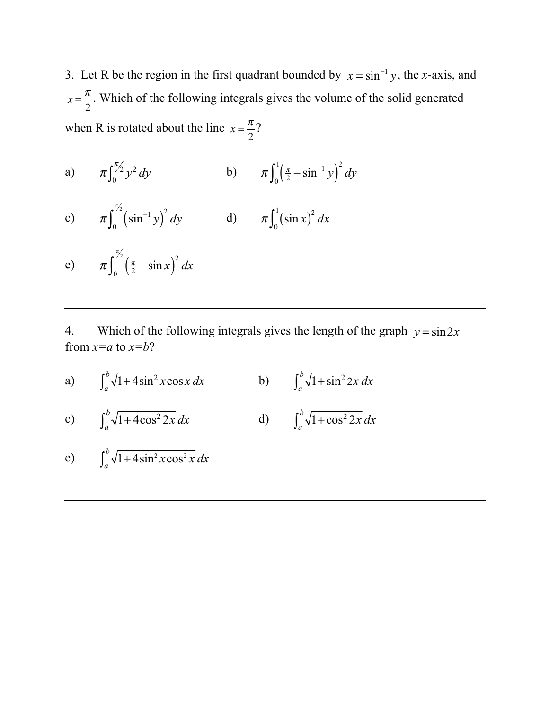3. Let R be the region in the first quadrant bounded by  $x = \sin^{-1} y$ , the *x*-axis, and  $x = \frac{\pi}{2}$ . Which of the following integrals gives the volume of the solid generated when R is rotated about the line  $x = \frac{\pi}{2}$ ? 2 2

- a)  $\pi \int_0^{\pi/2} y^2 dy$  b)  $\int_0^{\pi/2} y^2 dy$  b)  $\pi \int_0^1 \left( \frac{\pi}{2} - \sin^{-1} y \right)^2 dy$
- c)  $\pi \int_0^{\pi} \left( \sin^{-1} y \right)^2 dy$  d)  $\frac{\pi}{2}$  $\int_0^{\infty} (\sin^{-1} y)^2 dy$  d)  $\pi \int_0^1 (\sin x)^2 dx$  $\int_0^1$
- e)  $\pi \int_0^{\pi} \left( \frac{\pi}{2} \sin x \right)^2 dx$  $\int_0^{\frac{\pi}{2}}$

4. Which of the following integrals gives the length of the graph  $y = \sin 2x$ from  $x=a$  to  $x=b$ ?

a)  $\int_{a}^{b} \sqrt{1+4\sin^{2}x \cos x} dx$  **b**)  $\int_{a}^{b} \sqrt{1+\sin^{2}2x} dx$ 

c) 
$$
\int_a^b \sqrt{1+4\cos^2 2x} dx
$$
 d) 
$$
\int_a^b \sqrt{1+\cos^2 2x} dx
$$

e)  $\int_a^b \sqrt{1+4\sin^2 x \cos^2 x} dx$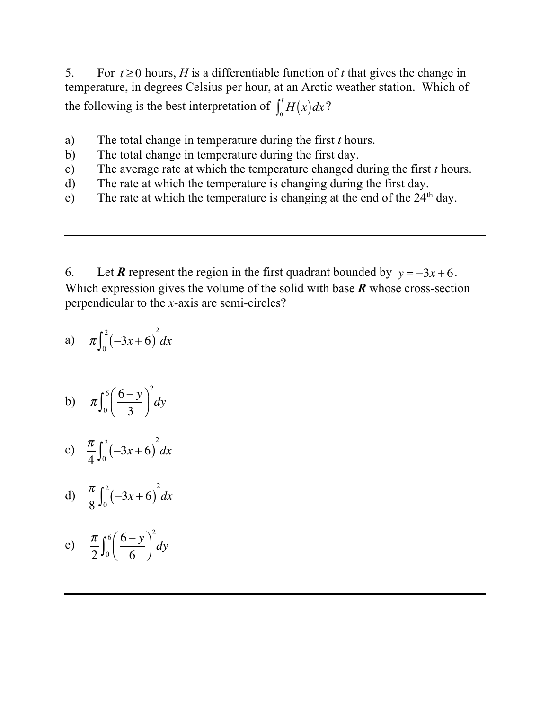5. For  $t \ge 0$  hours, *H* is a differentiable function of *t* that gives the change in temperature, in degrees Celsius per hour, at an Arctic weather station. Which of the following is the best interpretation of  $\int_0^t H(x) dx$ ?  $\int_0^t$ 

- a) The total change in temperature during the first *t* hours.
- b) The total change in temperature during the first day.
- c) The average rate at which the temperature changed during the first *t* hours.
- d) The rate at which the temperature is changing during the first day.
- e) The rate at which the temperature is changing at the end of the  $24<sup>th</sup>$  day.

6. Let *R* represent the region in the first quadrant bounded by  $y = -3x + 6$ . Which expression gives the volume of the solid with base *R* whose cross-section perpendicular to the *x*-axis are semi-circles?

a) 
$$
\pi \int_0^2 (-3x+6)^2 dx
$$

- b)  $\pi \int_{0}^{6} \left( \frac{6-y}{2} \right)$ 3  $\sqrt{}$  $\frac{6}{0} \left( \frac{6-y}{3} \right)$  $\int_0^6$ 2 *dy*
- c)  $\frac{\pi}{4} \int_0^2 (-3x+6)^2 dx$

d) 
$$
\frac{\pi}{8} \int_0^2 (-3x+6)^2 dx
$$

$$
e) \quad \frac{\pi}{2} \int_0^6 \left( \frac{6-y}{6} \right)^2 dy
$$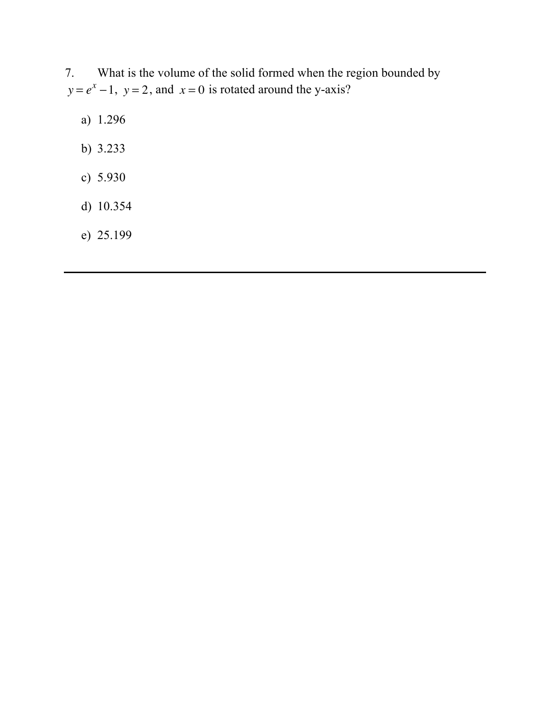7. What is the volume of the solid formed when the region bounded by  $y = e^x - 1$ ,  $y = 2$ , and  $x = 0$  is rotated around the y-axis?

- a) 1.296
- b) 3.233
- c) 5.930
- d) 10.354
- e) 25.199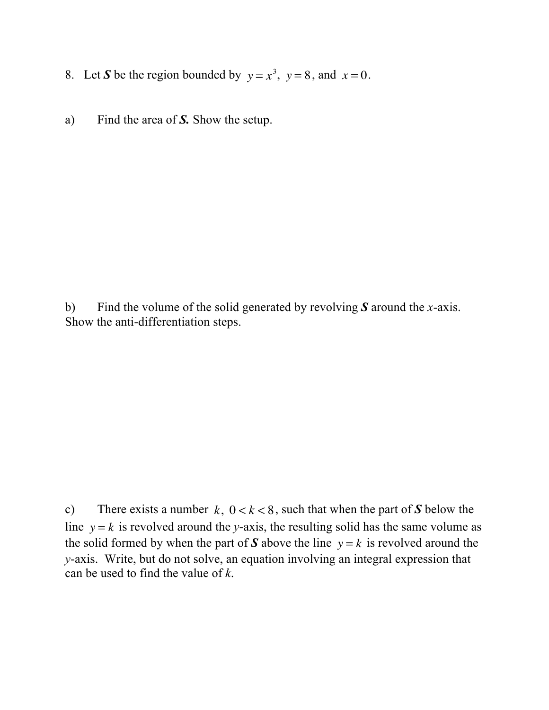- 8. Let *S* be the region bounded by  $y = x^3$ ,  $y = 8$ , and  $x = 0$ .
- a) Find the area of *S.* Show the setup.

b) Find the volume of the solid generated by revolving *S* around the *x*-axis. Show the anti-differentiation steps.

c) There exists a number  $k, 0 < k < 8$ , such that when the part of *S* below the line  $y = k$  is revolved around the *y*-axis, the resulting solid has the same volume as the solid formed by when the part of S above the line  $y = k$  is revolved around the *y*-axis. Write, but do not solve, an equation involving an integral expression that can be used to find the value of *k*.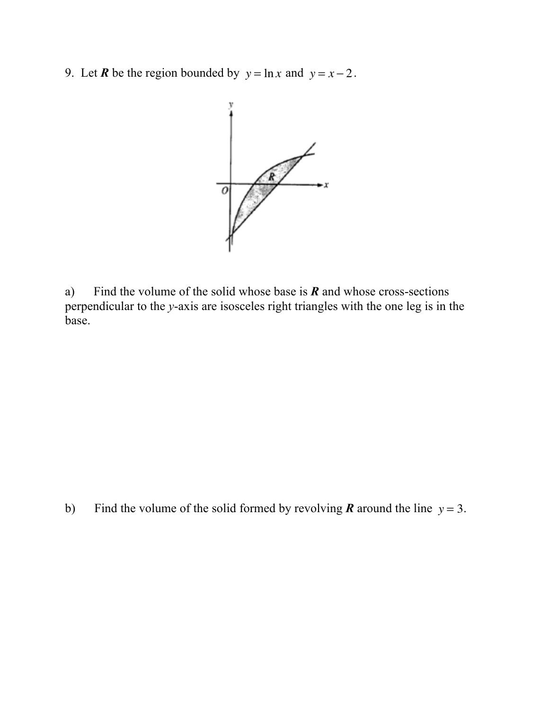9. Let **R** be the region bounded by  $y = \ln x$  and  $y = x - 2$ .



a) Find the volume of the solid whose base is *R* and whose cross-sections perpendicular to the *y*-axis are isosceles right triangles with the one leg is in the base.

b) Find the volume of the solid formed by revolving *R* around the line  $y = 3$ .